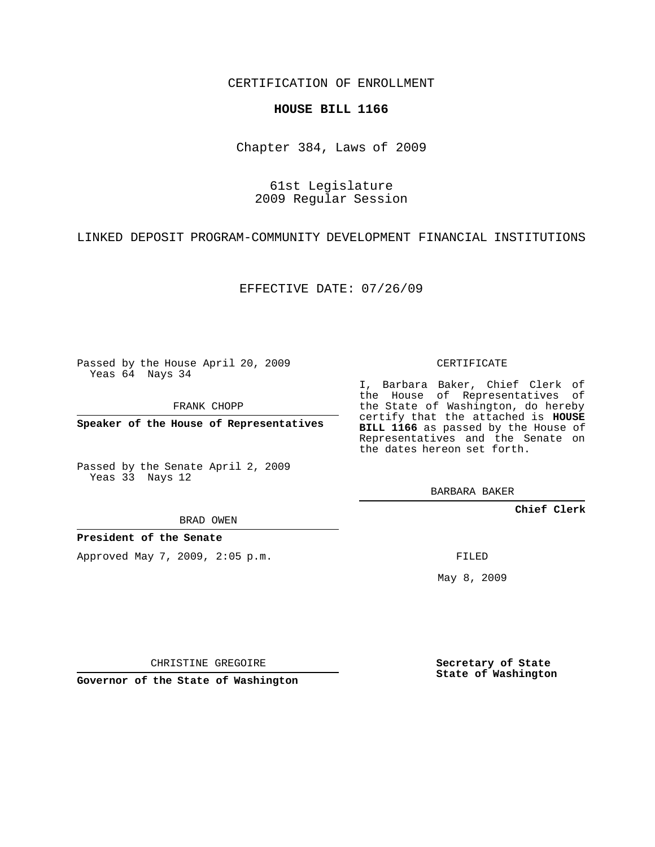CERTIFICATION OF ENROLLMENT

#### **HOUSE BILL 1166**

Chapter 384, Laws of 2009

## 61st Legislature 2009 Regular Session

LINKED DEPOSIT PROGRAM-COMMUNITY DEVELOPMENT FINANCIAL INSTITUTIONS

EFFECTIVE DATE: 07/26/09

Passed by the House April 20, 2009 Yeas 64 Nays 34

FRANK CHOPP

**Speaker of the House of Representatives**

Passed by the Senate April 2, 2009 Yeas 33 Nays 12

BRAD OWEN

**President of the Senate**

Approved May 7, 2009, 2:05 p.m.

CERTIFICATE

I, Barbara Baker, Chief Clerk of the House of Representatives of the State of Washington, do hereby certify that the attached is **HOUSE BILL 1166** as passed by the House of Representatives and the Senate on the dates hereon set forth.

BARBARA BAKER

**Chief Clerk**

FILED

May 8, 2009

CHRISTINE GREGOIRE

**Governor of the State of Washington**

**Secretary of State State of Washington**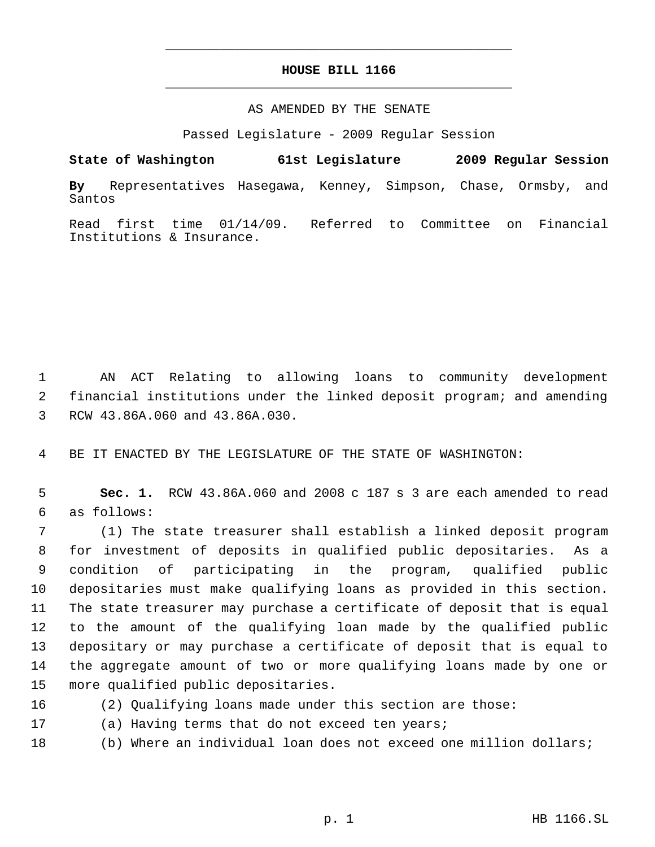# **HOUSE BILL 1166** \_\_\_\_\_\_\_\_\_\_\_\_\_\_\_\_\_\_\_\_\_\_\_\_\_\_\_\_\_\_\_\_\_\_\_\_\_\_\_\_\_\_\_\_\_

\_\_\_\_\_\_\_\_\_\_\_\_\_\_\_\_\_\_\_\_\_\_\_\_\_\_\_\_\_\_\_\_\_\_\_\_\_\_\_\_\_\_\_\_\_

### AS AMENDED BY THE SENATE

Passed Legislature - 2009 Regular Session

**State of Washington 61st Legislature 2009 Regular Session By** Representatives Hasegawa, Kenney, Simpson, Chase, Ormsby, and Santos

Read first time 01/14/09. Referred to Committee on Financial Institutions & Insurance.

 AN ACT Relating to allowing loans to community development financial institutions under the linked deposit program; and amending RCW 43.86A.060 and 43.86A.030.

BE IT ENACTED BY THE LEGISLATURE OF THE STATE OF WASHINGTON:

 **Sec. 1.** RCW 43.86A.060 and 2008 c 187 s 3 are each amended to read as follows:

 (1) The state treasurer shall establish a linked deposit program for investment of deposits in qualified public depositaries. As a condition of participating in the program, qualified public depositaries must make qualifying loans as provided in this section. The state treasurer may purchase a certificate of deposit that is equal to the amount of the qualifying loan made by the qualified public depositary or may purchase a certificate of deposit that is equal to the aggregate amount of two or more qualifying loans made by one or more qualified public depositaries.

- 
- (2) Qualifying loans made under this section are those:
- (a) Having terms that do not exceed ten years;
- (b) Where an individual loan does not exceed one million dollars;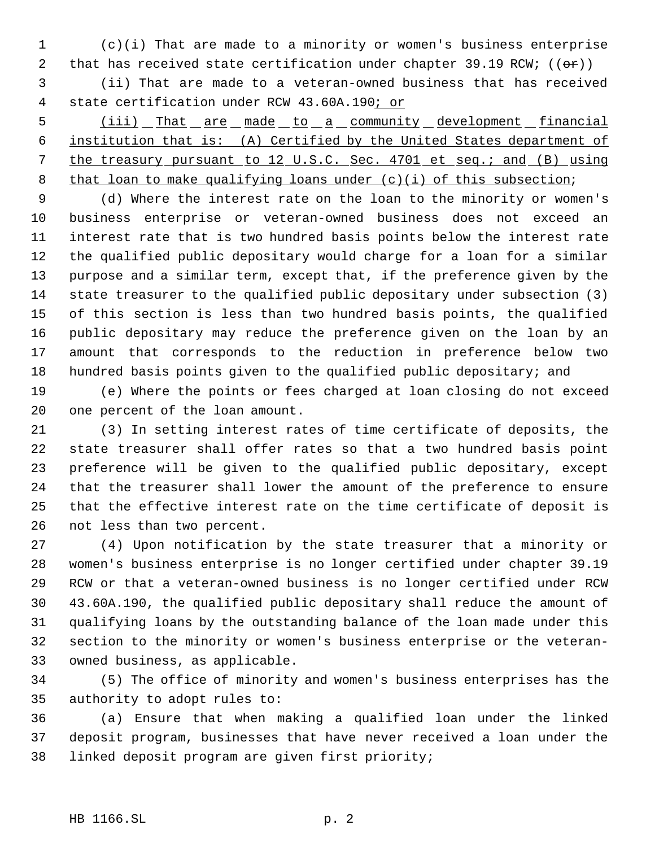(c)(i) That are made to a minority or women's business enterprise 2 that has received state certification under chapter 39.19 RCW;  $((\theta \cdot \mathbf{r}))$ 

 (ii) That are made to a veteran-owned business that has received state certification under RCW 43.60A.190; or

5 (iii) That are made to a community development financial institution that is: (A) Certified by the United States department of the treasury pursuant to 12 U.S.C. Sec. 4701 et seq.; and (B) using 8 that loan to make qualifying loans under (c)(i) of this subsection;

 (d) Where the interest rate on the loan to the minority or women's business enterprise or veteran-owned business does not exceed an interest rate that is two hundred basis points below the interest rate the qualified public depositary would charge for a loan for a similar purpose and a similar term, except that, if the preference given by the state treasurer to the qualified public depositary under subsection (3) of this section is less than two hundred basis points, the qualified public depositary may reduce the preference given on the loan by an amount that corresponds to the reduction in preference below two hundred basis points given to the qualified public depositary; and

 (e) Where the points or fees charged at loan closing do not exceed one percent of the loan amount.

 (3) In setting interest rates of time certificate of deposits, the state treasurer shall offer rates so that a two hundred basis point preference will be given to the qualified public depositary, except that the treasurer shall lower the amount of the preference to ensure that the effective interest rate on the time certificate of deposit is not less than two percent.

 (4) Upon notification by the state treasurer that a minority or women's business enterprise is no longer certified under chapter 39.19 RCW or that a veteran-owned business is no longer certified under RCW 43.60A.190, the qualified public depositary shall reduce the amount of qualifying loans by the outstanding balance of the loan made under this section to the minority or women's business enterprise or the veteran-owned business, as applicable.

 (5) The office of minority and women's business enterprises has the authority to adopt rules to:

 (a) Ensure that when making a qualified loan under the linked deposit program, businesses that have never received a loan under the linked deposit program are given first priority;

### HB 1166.SL p. 2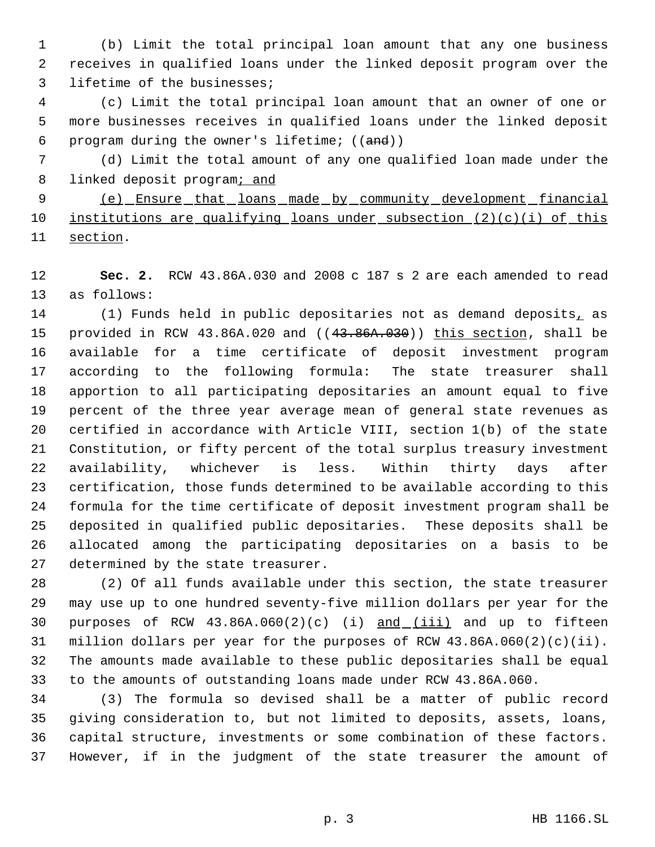(b) Limit the total principal loan amount that any one business receives in qualified loans under the linked deposit program over the lifetime of the businesses;

 (c) Limit the total principal loan amount that an owner of one or more businesses receives in qualified loans under the linked deposit program during the owner's lifetime; ((and))

 (d) Limit the total amount of any one qualified loan made under the 8 linked deposit programi and

 (e) Ensure that loans made by community development financial institutions are qualifying loans under subsection (2)(c)(i) of this section.

 **Sec. 2.** RCW 43.86A.030 and 2008 c 187 s 2 are each amended to read as follows:

14 (1) Funds held in public depositaries not as demand deposits, as 15 provided in RCW 43.86A.020 and ((43.86A.030)) this section, shall be available for a time certificate of deposit investment program according to the following formula: The state treasurer shall apportion to all participating depositaries an amount equal to five percent of the three year average mean of general state revenues as certified in accordance with Article VIII, section 1(b) of the state Constitution, or fifty percent of the total surplus treasury investment availability, whichever is less. Within thirty days after certification, those funds determined to be available according to this formula for the time certificate of deposit investment program shall be deposited in qualified public depositaries. These deposits shall be allocated among the participating depositaries on a basis to be determined by the state treasurer.

 (2) Of all funds available under this section, the state treasurer may use up to one hundred seventy-five million dollars per year for the 30 purposes of RCW  $43.86A.060(2)(c)$  (i)  $and$   $(iii)$  and up to fifteen million dollars per year for the purposes of RCW 43.86A.060(2)(c)(ii). The amounts made available to these public depositaries shall be equal to the amounts of outstanding loans made under RCW 43.86A.060.

 (3) The formula so devised shall be a matter of public record giving consideration to, but not limited to deposits, assets, loans, capital structure, investments or some combination of these factors. However, if in the judgment of the state treasurer the amount of